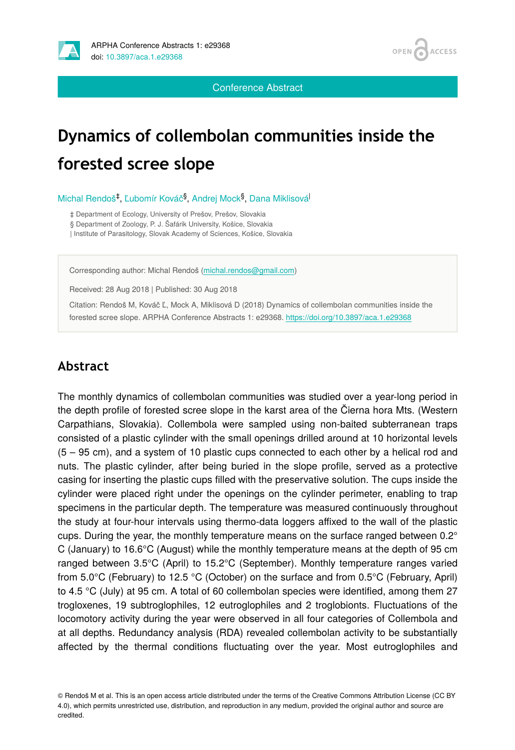



Conference Abstract

## **Dynamics of collembolan communities inside the forested scree slope**

Michal Rendoš<sup>‡</sup>, Ľubomír Kováč<sup>§</sup>, Andrej Mock<sup>§</sup>, Dana Miklisová<sup>l</sup>

‡ Department of Ecology, University of Prešov, Prešov, Slovakia

§ Department of Zoology, P. J. Šafárik University, Košice, Slovakia

| Institute of Parasitology, Slovak Academy of Sciences, Košice, Slovakia

Corresponding author: Michal Rendoš ([michal.rendos@gmail.com](mailto:michal.rendos@gmail.com))

Received: 28 Aug 2018 | Published: 30 Aug 2018

Citation: Rendoš M, Kováč Ľ, Mock A, Miklisová D (2018) Dynamics of collembolan communities inside the forested scree slope. ARPHA Conference Abstracts 1: e29368. <https://doi.org/10.3897/aca.1.e29368>

## **Abstract**

The monthly dynamics of collembolan communities was studied over a year-long period in the depth profile of forested scree slope in the karst area of the Čierna hora Mts. (Western Carpathians, Slovakia). Collembola were sampled using non-baited subterranean traps consisted of a plastic cylinder with the small openings drilled around at 10 horizontal levels (5 – 95 cm), and a system of 10 plastic cups connected to each other by a helical rod and nuts. The plastic cylinder, after being buried in the slope profile, served as a protective casing for inserting the plastic cups filled with the preservative solution. The cups inside the cylinder were placed right under the openings on the cylinder perimeter, enabling to trap specimens in the particular depth. The temperature was measured continuously throughout the study at four-hour intervals using thermo-data loggers affixed to the wall of the plastic cups. During the year, the monthly temperature means on the surface ranged between  $0.2^{\circ}$ C (January) to 16.6°C (August) while the monthly temperature means at the depth of 95 cm ranged between 3.5°C (April) to 15.2°C (September). Monthly temperature ranges varied from 5.0°C (February) to 12.5 °C (October) on the surface and from 0.5°C (February, April) to 4.5 °C (July) at 95 cm. A total of 60 collembolan species were identified, among them 27 trogloxenes, 19 subtroglophiles, 12 eutroglophiles and 2 troglobionts. Fluctuations of the locomotory activity during the year were observed in all four categories of Collembola and at all depths. Redundancy analysis (RDA) revealed collembolan activity to be substantially affected by the thermal conditions fluctuating over the year. Most eutroglophiles and

© Rendoš M et al. This is an open access article distributed under the terms of the Creative Commons Attribution License (CC BY 4.0), which permits unrestricted use, distribution, and reproduction in any medium, provided the original author and source are credited.